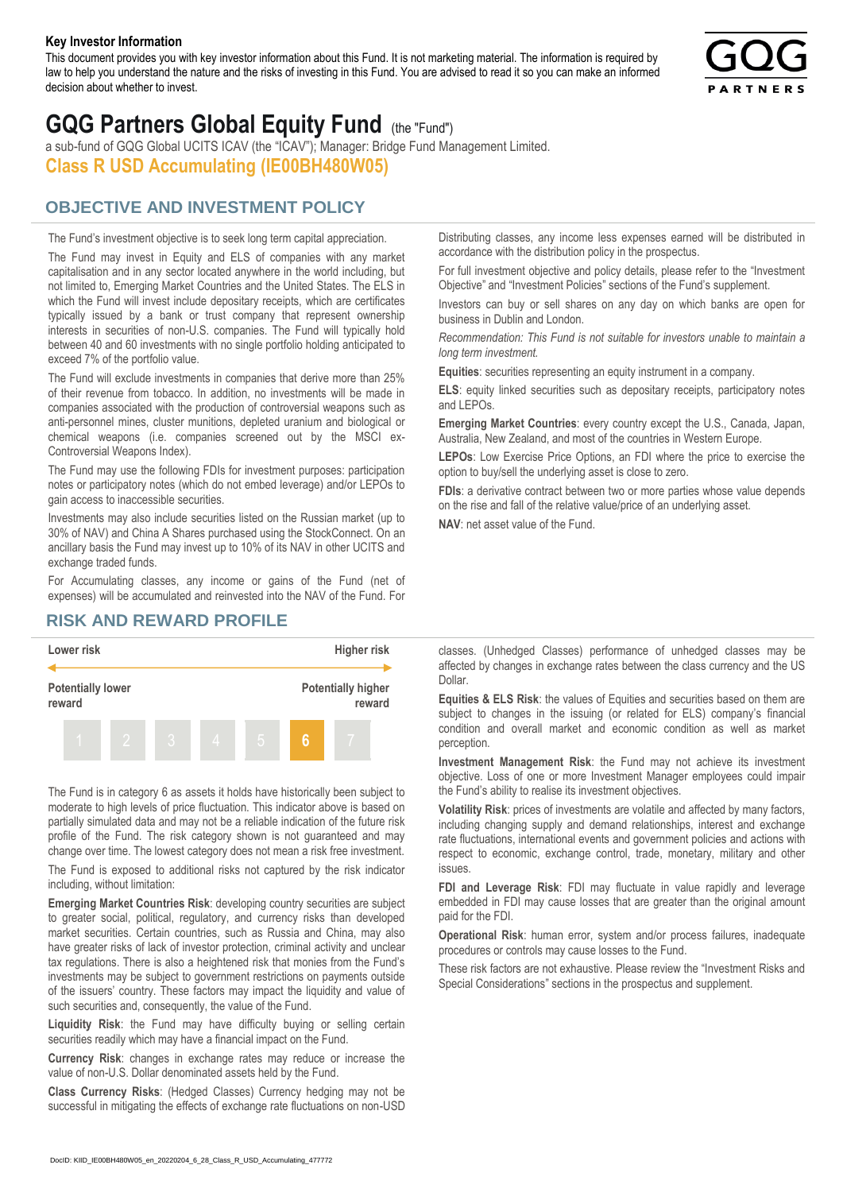#### **Key Investor Information**

This document provides you with key investor information about this Fund. It is not marketing material. The information is required by law to help you understand the nature and the risks of investing in this Fund. You are advised to read it so you can make an informed decision about whether to invest.



# **GQG Partners Global Equity Fund** (the "Fund")

a sub-fund of GQG Global UCITS ICAV (the "ICAV"); Manager: Bridge Fund Management Limited. **Class R USD Accumulating (IE00BH480W05)**

### **OBJECTIVE AND INVESTMENT POLICY**

The Fund's investment objective is to seek long term capital appreciation. The Fund may invest in Equity and ELS of companies with any market capitalisation and in any sector located anywhere in the world including, but not limited to, Emerging Market Countries and the United States. The ELS in which the Fund will invest include depositary receipts, which are certificates typically issued by a bank or trust company that represent ownership interests in securities of non-U.S. companies. The Fund will typically hold between 40 and 60 investments with no single portfolio holding anticipated to exceed 7% of the portfolio value.

The Fund will exclude investments in companies that derive more than 25% of their revenue from tobacco. In addition, no investments will be made in companies associated with the production of controversial weapons such as anti-personnel mines, cluster munitions, depleted uranium and biological or chemical weapons (i.e. companies screened out by the MSCI ex-Controversial Weapons Index).

The Fund may use the following FDIs for investment purposes: participation notes or participatory notes (which do not embed leverage) and/or LEPOs to gain access to inaccessible securities.

Investments may also include securities listed on the Russian market (up to 30% of NAV) and China A Shares purchased using the StockConnect. On an ancillary basis the Fund may invest up to 10% of its NAV in other UCITS and exchange traded funds.

For Accumulating classes, any income or gains of the Fund (net of expenses) will be accumulated and reinvested into the NAV of the Fund. For Distributing classes, any income less expenses earned will be distributed in accordance with the distribution policy in the prospectus.

For full investment objective and policy details, please refer to the "Investment Objective" and "Investment Policies" sections of the Fund's supplement.

Investors can buy or sell shares on any day on which banks are open for business in Dublin and London.

*Recommendation: This Fund is not suitable for investors unable to maintain a long term investment.*

**Equities**: securities representing an equity instrument in a company.

**ELS**: equity linked securities such as depositary receipts, participatory notes and LEPOs.

**Emerging Market Countries**: every country except the U.S., Canada, Japan, Australia, New Zealand, and most of the countries in Western Europe.

**LEPOs**: Low Exercise Price Options, an FDI where the price to exercise the option to buy/sell the underlying asset is close to zero.

**FDIs**: a derivative contract between two or more parties whose value depends on the rise and fall of the relative value/price of an underlying asset.

**NAV**: net asset value of the Fund.

#### **RISK AND REWARD PROFILE**



The Fund is in category 6 as assets it holds have historically been subject to moderate to high levels of price fluctuation. This indicator above is based on partially simulated data and may not be a reliable indication of the future risk profile of the Fund. The risk category shown is not guaranteed and may change over time. The lowest category does not mean a risk free investment.

The Fund is exposed to additional risks not captured by the risk indicator including, without limitation:

**Emerging Market Countries Risk**: developing country securities are subject to greater social, political, regulatory, and currency risks than developed market securities. Certain countries, such as Russia and China, may also have greater risks of lack of investor protection, criminal activity and unclear tax regulations. There is also a heightened risk that monies from the Fund's investments may be subject to government restrictions on payments outside of the issuers' country. These factors may impact the liquidity and value of such securities and, consequently, the value of the Fund.

**Liquidity Risk**: the Fund may have difficulty buying or selling certain securities readily which may have a financial impact on the Fund.

**Currency Risk**: changes in exchange rates may reduce or increase the value of non-U.S. Dollar denominated assets held by the Fund.

**Class Currency Risks**: (Hedged Classes) Currency hedging may not be successful in mitigating the effects of exchange rate fluctuations on non-USD classes. (Unhedged Classes) performance of unhedged classes may be affected by changes in exchange rates between the class currency and the US Dollar.

**Equities & ELS Risk**: the values of Equities and securities based on them are subject to changes in the issuing (or related for ELS) company's financial condition and overall market and economic condition as well as market perception.

**Investment Management Risk**: the Fund may not achieve its investment objective. Loss of one or more Investment Manager employees could impair the Fund's ability to realise its investment objectives.

**Volatility Risk**: prices of investments are volatile and affected by many factors, including changing supply and demand relationships, interest and exchange rate fluctuations, international events and government policies and actions with respect to economic, exchange control, trade, monetary, military and other issues.

**FDI and Leverage Risk**: FDI may fluctuate in value rapidly and leverage embedded in FDI may cause losses that are greater than the original amount paid for the FDI.

**Operational Risk**: human error, system and/or process failures, inadequate procedures or controls may cause losses to the Fund.

These risk factors are not exhaustive. Please review the "Investment Risks and Special Considerations" sections in the prospectus and supplement.